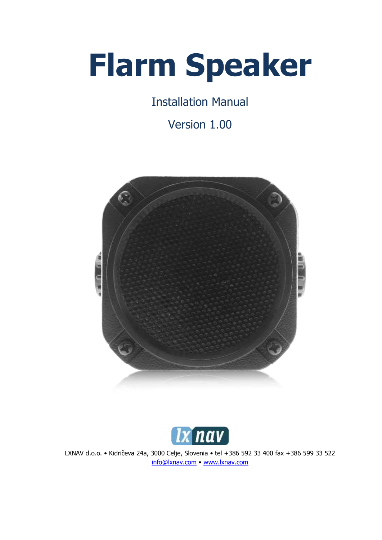# **Flarm Speaker**

Installation Manual

Version 1.00





LXNAV d.o.o. • Kidričeva 24a, 3000 Celje, Slovenia • tel +386 592 33 400 fax +386 599 33 522 [info@lxnav.com](mailto:support@lxnavigation.si) • [www.lxnav.com](http://www.lxnav.com/)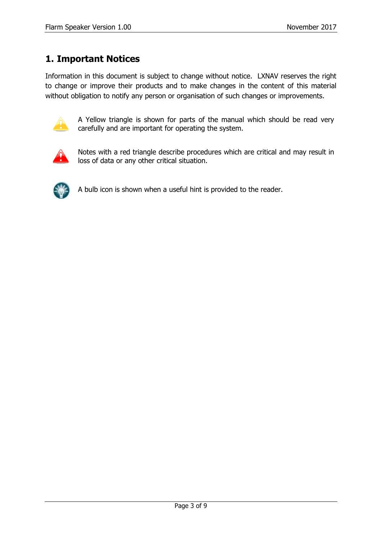## <span id="page-2-0"></span>**1. Important Notices**

Information in this document is subject to change without notice. LXNAV reserves the right to change or improve their products and to make changes in the content of this material without obligation to notify any person or organisation of such changes or improvements.



A Yellow triangle is shown for parts of the manual which should be read very carefully and are important for operating the system.



Notes with a red triangle describe procedures which are critical and may result in loss of data or any other critical situation.



A bulb icon is shown when a useful hint is provided to the reader.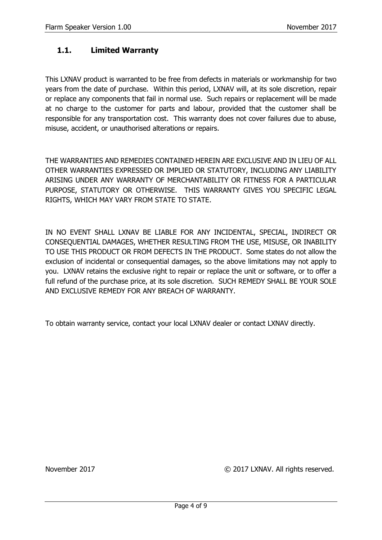#### <span id="page-3-0"></span>**1.1. Limited Warranty**

This LXNAV product is warranted to be free from defects in materials or workmanship for two years from the date of purchase. Within this period, LXNAV will, at its sole discretion, repair or replace any components that fail in normal use. Such repairs or replacement will be made at no charge to the customer for parts and labour, provided that the customer shall be responsible for any transportation cost. This warranty does not cover failures due to abuse, misuse, accident, or unauthorised alterations or repairs.

THE WARRANTIES AND REMEDIES CONTAINED HEREIN ARE EXCLUSIVE AND IN LIEU OF ALL OTHER WARRANTIES EXPRESSED OR IMPLIED OR STATUTORY, INCLUDING ANY LIABILITY ARISING UNDER ANY WARRANTY OF MERCHANTABILITY OR FITNESS FOR A PARTICULAR PURPOSE, STATUTORY OR OTHERWISE. THIS WARRANTY GIVES YOU SPECIFIC LEGAL RIGHTS, WHICH MAY VARY FROM STATE TO STATE.

IN NO EVENT SHALL LXNAV BE LIABLE FOR ANY INCIDENTAL, SPECIAL, INDIRECT OR CONSEQUENTIAL DAMAGES, WHETHER RESULTING FROM THE USE, MISUSE, OR INABILITY TO USE THIS PRODUCT OR FROM DEFECTS IN THE PRODUCT. Some states do not allow the exclusion of incidental or consequential damages, so the above limitations may not apply to you. LXNAV retains the exclusive right to repair or replace the unit or software, or to offer a full refund of the purchase price, at its sole discretion. SUCH REMEDY SHALL BE YOUR SOLE AND EXCLUSIVE REMEDY FOR ANY BREACH OF WARRANTY.

To obtain warranty service, contact your local LXNAV dealer or contact LXNAV directly.

November 2017 © 2017 LXNAV. All rights reserved.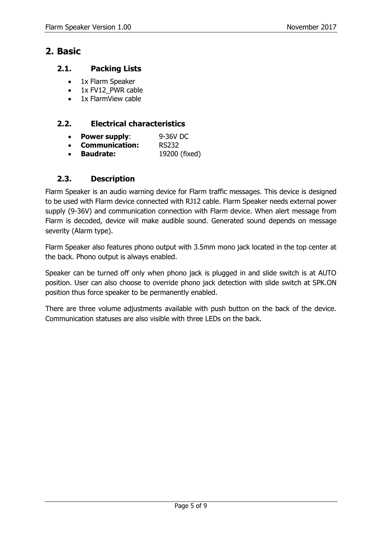### <span id="page-4-0"></span>**2. Basic**

#### <span id="page-4-1"></span>**2.1. Packing Lists**

- 1x Flarm Speaker
- 1x FV12\_PWR cable
- 1x FlarmView cable

#### <span id="page-4-2"></span>**2.2. Electrical characteristics**

- **Power supply**: 9-36V DC
- **Communication:** RS232
- **Baudrate:** 19200 (fixed)

#### <span id="page-4-3"></span>**2.3. Description**

Flarm Speaker is an audio warning device for Flarm traffic messages. This device is designed to be used with Flarm device connected with RJ12 cable. Flarm Speaker needs external power supply (9-36V) and communication connection with Flarm device. When alert message from Flarm is decoded, device will make audible sound. Generated sound depends on message severity (Alarm type).

Flarm Speaker also features phono output with 3.5mm mono jack located in the top center at the back. Phono output is always enabled.

Speaker can be turned off only when phono jack is plugged in and slide switch is at AUTO position. User can also choose to override phono jack detection with slide switch at SPK.ON position thus force speaker to be permanently enabled.

There are three volume adjustments available with push button on the back of the device. Communication statuses are also visible with three LEDs on the back.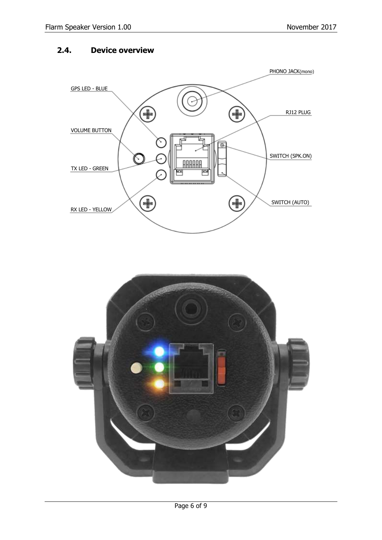#### <span id="page-5-0"></span>**2.4. Device overview**



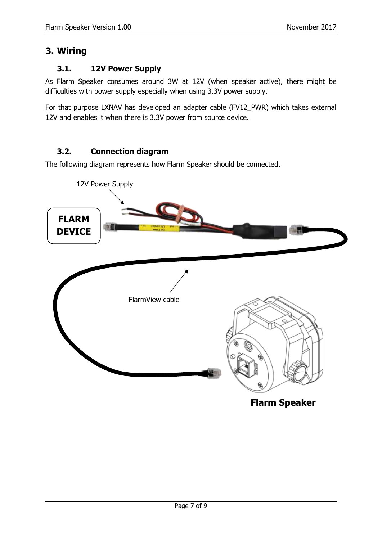## <span id="page-6-0"></span>**3. Wiring**

#### <span id="page-6-1"></span>**3.1. 12V Power Supply**

As Flarm Speaker consumes around 3W at 12V (when speaker active), there might be difficulties with power supply especially when using 3.3V power supply.

For that purpose LXNAV has developed an adapter cable (FV12\_PWR) which takes external 12V and enables it when there is 3.3V power from source device.

#### <span id="page-6-2"></span>**3.2. Connection diagram**

The following diagram represents how Flarm Speaker should be connected.

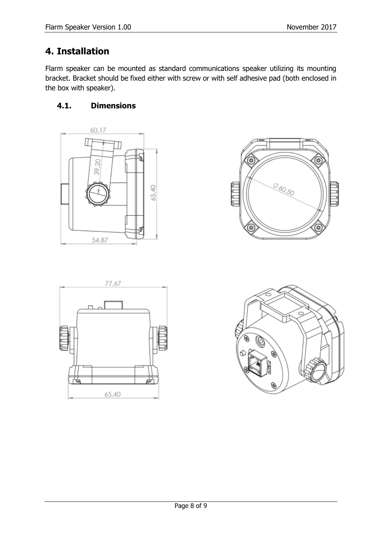## <span id="page-7-0"></span>**4. Installation**

Flarm speaker can be mounted as standard communications speaker utilizing its mounting bracket. Bracket should be fixed either with screw or with self adhesive pad (both enclosed in the box with speaker).

### <span id="page-7-1"></span>**4.1. Dimensions**